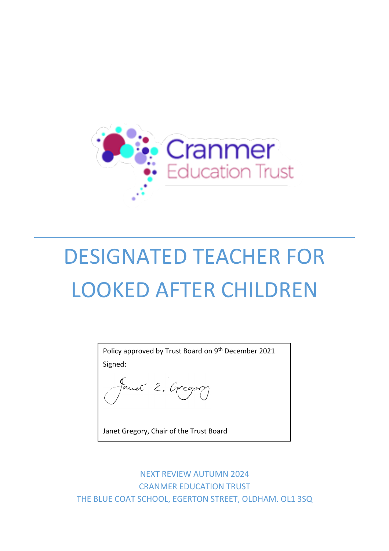

# DESIGNATED TEACHER FOR LOOKED AFTER CHILDREN

Policy approved by Trust Board on 9<sup>th</sup> December 2021 Signed:

tanet E. Gregory

Janet Gregory, Chair of the Trust Board

NEXT REVIEW AUTUMN 2024 CRANMER EDUCATION TRUST THE BLUE COAT SCHOOL, EGERTON STREET, OLDHAM. OL1 3SQ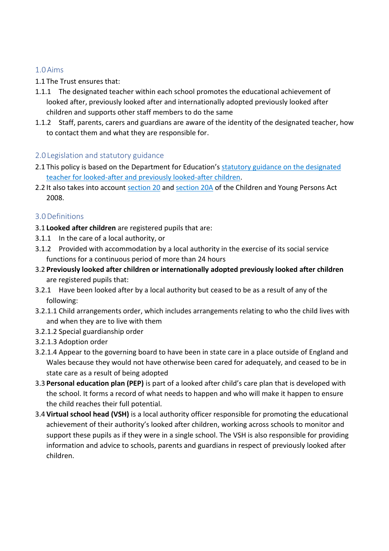# 1.0Aims

### 1.1 The Trust ensures that:

- 1.1.1 The designated teacher within each school promotes the educational achievement of looked after, previously looked after and internationally adopted previously looked after children and supports other staff members to do the same
- 1.1.2 Staff, parents, carers and guardians are aware of the identity of the designated teacher, how to contact them and what they are responsible for.

# 2.0 Legislation and statutory guidance

- 2.1 This policy is based on the Department for Education's statutory guidance on the designated [teacher for looked-after and previously looked-after children.](https://www.gov.uk/government/publications/designated-teacher-for-looked-after-children)
- 2.2 It also takes into account [section 20](http://www.legislation.gov.uk/ukpga/2008/23/section/20) and [section 20A](http://www.legislation.gov.uk/ukpga/2008/23/section/20A) of the Children and Young Persons Act 2008.

# 3.0Definitions

- 3.1 **Looked after children** are registered pupils that are:
- 3.1.1 In the care of a local authority, or
- 3.1.2 Provided with accommodation by a local authority in the exercise of its social service functions for a continuous period of more than 24 hours
- 3.2 **Previously looked after children or internationally adopted previously looked after children** are registered pupils that:
- 3.2.1 Have been looked after by a local authority but ceased to be as a result of any of the following:
- 3.2.1.1 Child arrangements order, which includes arrangements relating to who the child lives with and when they are to live with them
- 3.2.1.2 Special guardianship order
- 3.2.1.3 Adoption order
- 3.2.1.4 Appear to the governing board to have been in state care in a place outside of England and Wales because they would not have otherwise been cared for adequately, and ceased to be in state care as a result of being adopted
- 3.3 **Personal education plan (PEP)** is part of a looked after child's care plan that is developed with the school. It forms a record of what needs to happen and who will make it happen to ensure the child reaches their full potential.
- 3.4 **Virtual school head (VSH)** is a local authority officer responsible for promoting the educational achievement of their authority's looked after children, working across schools to monitor and support these pupils as if they were in a single school. The VSH is also responsible for providing information and advice to schools, parents and guardians in respect of previously looked after children.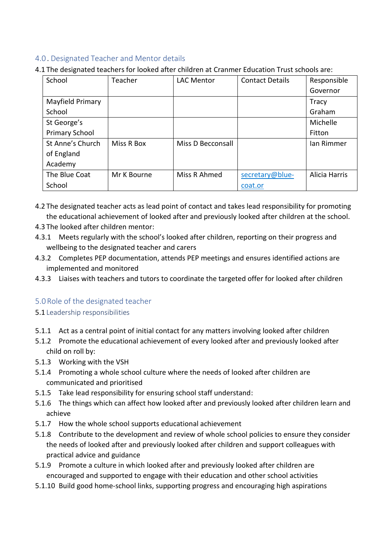# 4.0 . Designated Teacher and Mentor details

4.1 The designated teachers for looked after children at Cranmer Education Trust schools are:

| School                | Teacher     | <b>LAC Mentor</b> | <b>Contact Details</b> | Responsible   |
|-----------------------|-------------|-------------------|------------------------|---------------|
|                       |             |                   |                        | Governor      |
| Mayfield Primary      |             |                   |                        | Tracy         |
| School                |             |                   |                        | Graham        |
| St George's           |             |                   |                        | Michelle      |
| <b>Primary School</b> |             |                   |                        | Fitton        |
| St Anne's Church      | Miss R Box  | Miss D Becconsall |                        | lan Rimmer    |
| of England            |             |                   |                        |               |
| Academy               |             |                   |                        |               |
| The Blue Coat         | Mr K Bourne | Miss R Ahmed      | secretary@blue-        | Alicia Harris |
| School                |             |                   | coat.or                |               |

- 4.2 The designated teacher acts as lead point of contact and takes lead responsibility for promoting the educational achievement of looked after and previously looked after children at the school.
- 4.3 The looked after children mentor:
- 4.3.1 Meets regularly with the school's looked after children, reporting on their progress and wellbeing to the designated teacher and carers
- 4.3.2 Completes PEP documentation, attends PEP meetings and ensures identified actions are implemented and monitored
- 4.3.3 Liaises with teachers and tutors to coordinate the targeted offer for looked after children

### 5.0Role of the designated teacher

#### 5.1 Leadership responsibilities

- 5.1.1 Act as a central point of initial contact for any matters involving looked after children
- 5.1.2 Promote the educational achievement of every looked after and previously looked after child on roll by:
- 5.1.3 Working with the VSH
- 5.1.4 Promoting a whole school culture where the needs of looked after children are communicated and prioritised
- 5.1.5 Take lead responsibility for ensuring school staff understand:
- 5.1.6 The things which can affect how looked after and previously looked after children learn and achieve
- 5.1.7 How the whole school supports educational achievement
- 5.1.8 Contribute to the development and review of whole school policies to ensure they consider the needs of looked after and previously looked after children and support colleagues with practical advice and guidance
- 5.1.9 Promote a culture in which looked after and previously looked after children are encouraged and supported to engage with their education and other school activities
- 5.1.10 Build good home-school links, supporting progress and encouraging high aspirations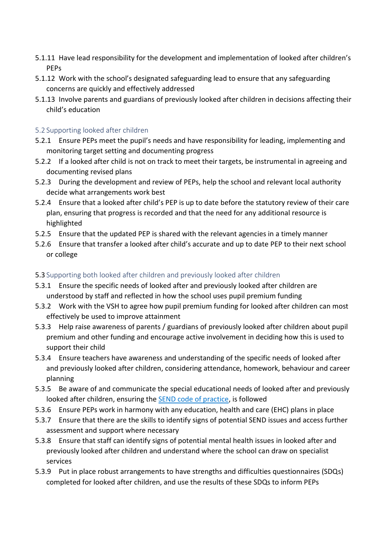- 5.1.11 Have lead responsibility for the development and implementation of looked after children's PEPs
- 5.1.12 Work with the school's designated safeguarding lead to ensure that any safeguarding concerns are quickly and effectively addressed
- 5.1.13 Involve parents and guardians of previously looked after children in decisions affecting their child's education

#### 5.2 Supporting looked after children

- 5.2.1 Ensure PEPs meet the pupil's needs and have responsibility for leading, implementing and monitoring target setting and documenting progress
- 5.2.2 If a looked after child is not on track to meet their targets, be instrumental in agreeing and documenting revised plans
- 5.2.3 During the development and review of PEPs, help the school and relevant local authority decide what arrangements work best
- 5.2.4 Ensure that a looked after child's PEP is up to date before the statutory review of their care plan, ensuring that progress is recorded and that the need for any additional resource is highlighted
- 5.2.5 Ensure that the updated PEP is shared with the relevant agencies in a timely manner
- 5.2.6 Ensure that transfer a looked after child's accurate and up to date PEP to their next school or college
- 5.3 Supporting both looked after children and previously looked after children
- 5.3.1 Ensure the specific needs of looked after and previously looked after children are understood by staff and reflected in how the school uses pupil premium funding
- 5.3.2 Work with the VSH to agree how pupil premium funding for looked after children can most effectively be used to improve attainment
- 5.3.3 Help raise awareness of parents / guardians of previously looked after children about pupil premium and other funding and encourage active involvement in deciding how this is used to support their child
- 5.3.4 Ensure teachers have awareness and understanding of the specific needs of looked after and previously looked after children, considering attendance, homework, behaviour and career planning
- 5.3.5 Be aware of and communicate the special educational needs of looked after and previously looked after children, ensuring the **SEND** code of practice, is followed
- 5.3.6 Ensure PEPs work in harmony with any education, health and care (EHC) plans in place
- 5.3.7 Ensure that there are the skills to identify signs of potential SEND issues and access further assessment and support where necessary
- 5.3.8 Ensure that staff can identify signs of potential mental health issues in looked after and previously looked after children and understand where the school can draw on specialist services
- 5.3.9 Put in place robust arrangements to have strengths and difficulties questionnaires (SDQs) completed for looked after children, and use the results of these SDQs to inform PEPs